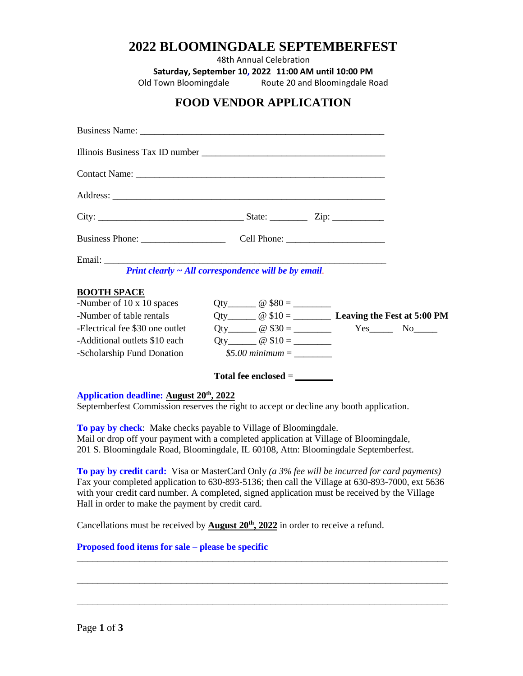# **2022 BLOOMINGDALE SEPTEMBERFEST**

48th Annual Celebration

**Saturday, September 10, 2022 11:00 AM until 10:00 PM**

Old Town Bloomingdale Route 20 and Bloomingdale Road

# **FOOD VENDOR APPLICATION**

|                                | Print clearly $\sim$ All correspondence will be by email. |  |
|--------------------------------|-----------------------------------------------------------|--|
| <b>BOOTH SPACE</b>             |                                                           |  |
| -Number of 10 x 10 spaces      |                                                           |  |
| -Number of table rentals       | Qty $@ 10 =$ $@ 10 =$ Leaving the Fest at 5:00 PM         |  |
| Electrical fee \$30 one outlet | Qty $@ $30 =$ $Yes$ No No                                 |  |
| -Additional outlets \$10 each  |                                                           |  |
|                                |                                                           |  |
|                                | Total fee enclosed $=$                                    |  |

#### **Application deadline: August 20th, 2022**

Septemberfest Commission reserves the right to accept or decline any booth application.

**To pay by check**: Make checks payable to Village of Bloomingdale. Mail or drop off your payment with a completed application at Village of Bloomingdale, 201 S. Bloomingdale Road, Bloomingdale, IL 60108, Attn: Bloomingdale Septemberfest.

**To pay by credit card:** Visa or MasterCard Only *(a 3% fee will be incurred for card payments)* Fax your completed application to 630-893-5136; then call the Village at 630-893-7000, ext 5636 with your credit card number. A completed, signed application must be received by the Village Hall in order to make the payment by credit card.

**\_\_\_\_\_\_\_\_\_\_\_\_\_\_\_\_\_\_\_\_\_\_\_\_\_\_\_\_\_\_\_\_\_\_\_\_\_\_\_\_\_\_\_\_\_\_\_\_\_\_\_\_\_\_\_\_\_\_\_\_\_\_\_\_\_\_\_\_\_\_\_**

**\_\_\_\_\_\_\_\_\_\_\_\_\_\_\_\_\_\_\_\_\_\_\_\_\_\_\_\_\_\_\_\_\_\_\_\_\_\_\_\_\_\_\_\_\_\_\_\_\_\_\_\_\_\_\_\_\_\_\_\_\_\_\_\_\_\_\_\_\_\_\_**

**\_\_\_\_\_\_\_\_\_\_\_\_\_\_\_\_\_\_\_\_\_\_\_\_\_\_\_\_\_\_\_\_\_\_\_\_\_\_\_\_\_\_\_\_\_\_\_\_\_\_\_\_\_\_\_\_\_\_\_\_\_\_\_\_\_\_\_\_\_\_\_**

Cancellations must be received by **August 20th, 2022** in order to receive a refund.

### **Proposed food items for sale – please be specific**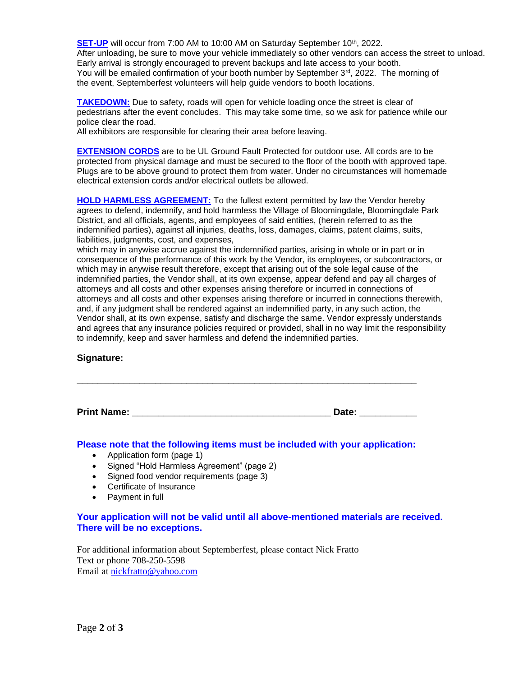**SET-UP** will occur from 7:00 AM to 10:00 AM on Saturday September 10<sup>th</sup>, 2022. After unloading, be sure to move your vehicle immediately so other vendors can access the street to unload. Early arrival is strongly encouraged to prevent backups and late access to your booth. You will be emailed confirmation of your booth number by September 3<sup>rd</sup>, 2022. The morning of the event, Septemberfest volunteers will help guide vendors to booth locations.

**TAKEDOWN:** Due to safety, roads will open for vehicle loading once the street is clear of pedestrians after the event concludes. This may take some time, so we ask for patience while our police clear the road.

All exhibitors are responsible for clearing their area before leaving.

**EXTENSION CORDS** are to be UL Ground Fault Protected for outdoor use. All cords are to be protected from physical damage and must be secured to the floor of the booth with approved tape. Plugs are to be above ground to protect them from water. Under no circumstances will homemade electrical extension cords and/or electrical outlets be allowed.

**HOLD HARMLESS AGREEMENT:** To the fullest extent permitted by law the Vendor hereby agrees to defend, indemnify, and hold harmless the Village of Bloomingdale, Bloomingdale Park District, and all officials, agents, and employees of said entities, (herein referred to as the indemnified parties), against all injuries, deaths, loss, damages, claims, patent claims, suits, liabilities, judgments, cost, and expenses,

which may in anywise accrue against the indemnified parties, arising in whole or in part or in consequence of the performance of this work by the Vendor, its employees, or subcontractors, or which may in anywise result therefore, except that arising out of the sole legal cause of the indemnified parties, the Vendor shall, at its own expense, appear defend and pay all charges of attorneys and all costs and other expenses arising therefore or incurred in connections of attorneys and all costs and other expenses arising therefore or incurred in connections therewith, and, if any judgment shall be rendered against an indemnified party, in any such action, the Vendor shall, at its own expense, satisfy and discharge the same. Vendor expressly understands and agrees that any insurance policies required or provided, shall in no way limit the responsibility to indemnify, keep and saver harmless and defend the indemnified parties.

#### **Signature:**

**Print Name: \_\_\_\_\_\_\_\_\_\_\_\_\_\_\_\_\_\_\_\_\_\_\_\_\_\_\_\_\_\_\_\_\_\_\_\_\_\_ Date: \_\_\_\_\_\_\_\_\_\_\_**

#### **Please note that the following items must be included with your application:**

**\_\_\_\_\_\_\_\_\_\_\_\_\_\_\_\_\_\_\_\_\_\_\_\_\_\_\_\_\_\_\_\_\_\_\_\_\_\_\_\_\_\_\_\_\_\_\_\_\_\_\_\_\_\_\_\_\_\_\_\_\_\_\_\_\_**

- Application form (page 1)
- Signed "Hold Harmless Agreement" (page 2)
- Signed food vendor requirements (page 3)
- Certificate of Insurance
- Payment in full

# **Your application will not be valid until all above-mentioned materials are received. There will be no exceptions.**

For additional information about Septemberfest, please contact Nick Fratto Text or phone 708-250-5598 Email a[t nickfratto@yahoo.com](mailto:nickfratto@yahoo.com)